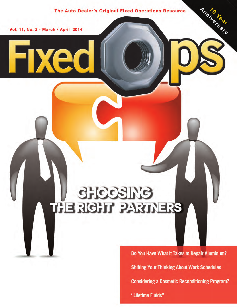The Auto Dealer's Original Fixed Operations Resource

Vol. 11, No. 2 - March / April 2014

**Fixed** 

# **SHCOSING THE RIGHT PARTNERS**

Do You Have What It Takes to Repair Aluminum? **Shifting Your Thinking About Work Schedules Considering a Cosmetic Reconditioning Program?** "Lifetime Fluids"

Anniversary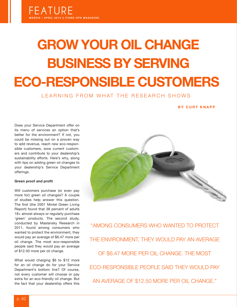## **GROW YOUR OIL CHANGE BUSINESS BY SERVING ECO-RESPONSIBLE CUSTOMERS**

### LEARNING FROM WHAT THE RESEARCH SHOWS

#### **BY CURT KNAPP**

Does your Service Department offer on its menu of services an option that's better for the environment? If not, you could be missing out on a proven way to add revenue, reach new eco-responsible customers, wow current customers and contribute to your dealership's sustainability efforts. Here's why, along with tips on adding green oil changes to your dealership's Service Department offerings.

#### **Green proof and profit**

Will customers purchase (or even pay more for) green oil changes? A couple of studies help answer this question. The first (the 2001 Mintel Green Living Report) found that 38 percent of adults 18+ almost always or regularly purchase 'green' products. The second study, conducted by Maslansky Research in 2011, found among consumers who wanted to protect the environment, they would pay an average of \$6.47 more per oil change. The most eco-responsible people said they would pay an average of \$12.50 more per oil change.

What would charging \$6 to \$12 more for an oil change do for your Service Department's bottom line? Of course, not every customer will choose or pay extra for an eco-friendly oil change. But the fact that your dealership offers this



"AMONG CONSUMERS WHO WANTED TO PROTECT THE ENVIRONMENT, THEY WOULD PAY AN AVERAGE OF \$6.47 MORE PER OIL CHANGE. THE MOST ECO-RESPONSIBLE PEOPLE SAID THEY WOULD PAY AN AVERAGE OF \$12.50 MORE PER OIL CHANGE."